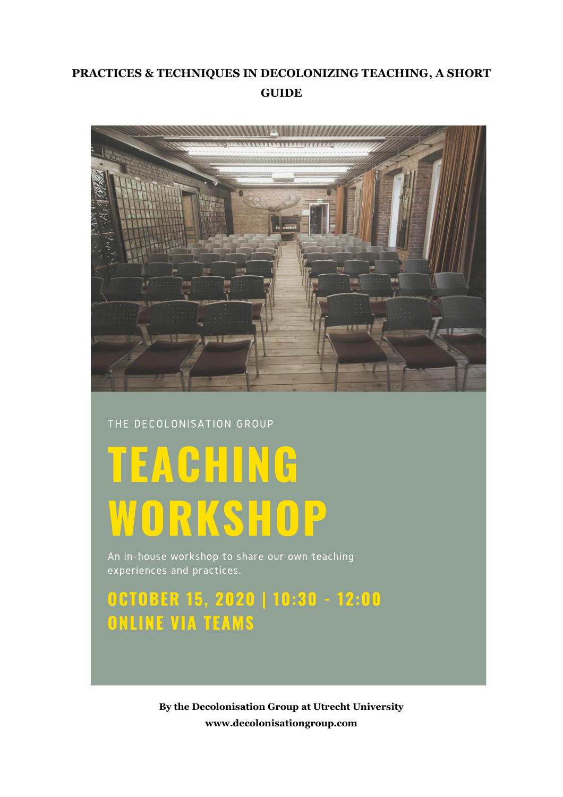## **PRACTICES & TECHNIQUES IN DECOLONIZING TEACHING, A SHORT GUIDE**



#### THE DECOLONISATION GROUP

# **TEACHING** WORKSHOP

An in-house workshop to share our own teaching experiences and practices.

# OCTOBER 15, 2020 | 10:30 - 12:00 **ONLINE VIA TEAMS**

**By the Decolonisation Group at Utrecht University www.decolonisationgroup.com**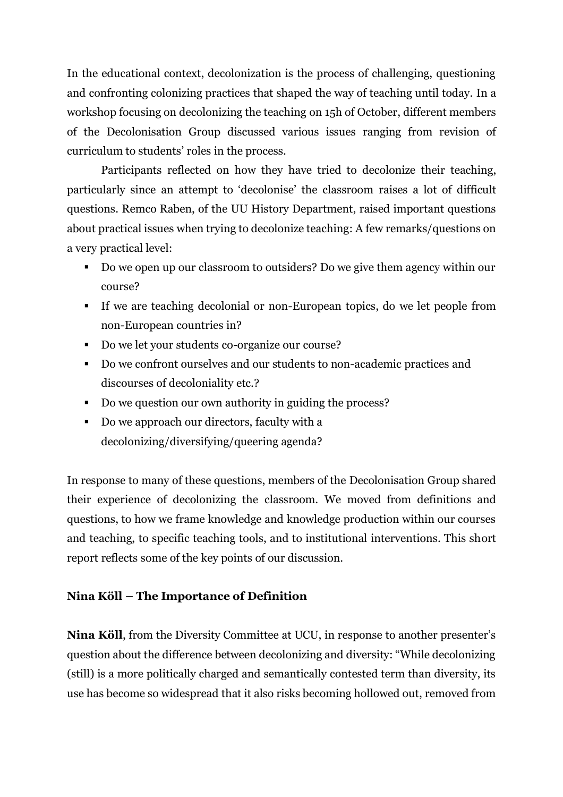In the educational context, decolonization is the process of challenging, questioning and confronting colonizing practices that shaped the way of teaching until today. In a workshop focusing on decolonizing the teaching on 15h of October, different members of the Decolonisation Group discussed various issues ranging from revision of curriculum to students' roles in the process.

Participants reflected on how they have tried to decolonize their teaching, particularly since an attempt to 'decolonise' the classroom raises a lot of difficult questions. Remco Raben, of the UU History Department, raised important questions about practical issues when trying to decolonize teaching: A few remarks/questions on a very practical level:

- Do we open up our classroom to outsiders? Do we give them agency within our course?
- If we are teaching decolonial or non-European topics, do we let people from non-European countries in?
- Do we let your students co-organize our course?
- Do we confront ourselves and our students to non-academic practices and discourses of decoloniality etc.?
- Do we question our own authority in guiding the process?
- Do we approach our directors, faculty with a decolonizing/diversifying/queering agenda?

In response to many of these questions, members of the Decolonisation Group shared their experience of decolonizing the classroom. We moved from definitions and questions, to how we frame knowledge and knowledge production within our courses and teaching, to specific teaching tools, and to institutional interventions. This short report reflects some of the key points of our discussion.

#### **Nina Köll – The Importance of Definition**

**Nina Köll**, from the Diversity Committee at UCU, in response to another presenter's question about the difference between decolonizing and diversity: "While decolonizing (still) is a more politically charged and semantically contested term than diversity, its use has become so widespread that it also risks becoming hollowed out, removed from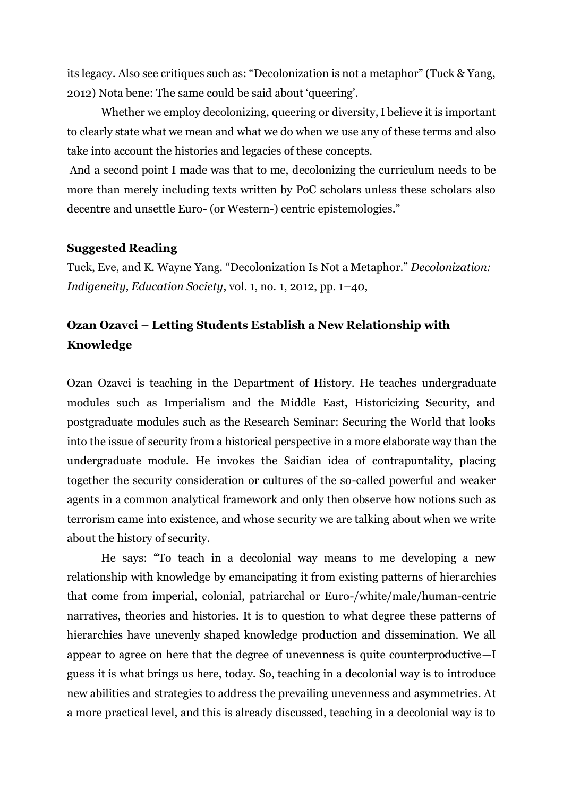its legacy. Also see critiques such as: "Decolonization is not a metaphor" (Tuck & Yang, 2012) Nota bene: The same could be said about 'queering'.

Whether we employ decolonizing, queering or diversity, I believe it is important to clearly state what we mean and what we do when we use any of these terms and also take into account the histories and legacies of these concepts.

And a second point I made was that to me, decolonizing the curriculum needs to be more than merely including texts written by PoC scholars unless these scholars also decentre and unsettle Euro- (or Western-) centric epistemologies."

#### **Suggested Reading**

Tuck, Eve, and K. Wayne Yang. "Decolonization Is Not a Metaphor." *Decolonization: Indigeneity, Education Society*, vol. 1, no. 1, 2012, pp. 1–40,

### **Ozan Ozavci – Letting Students Establish a New Relationship with Knowledge**

Ozan Ozavci is teaching in the Department of History. He teaches undergraduate modules such as Imperialism and the Middle East, Historicizing Security, and postgraduate modules such as the Research Seminar: Securing the World that looks into the issue of security from a historical perspective in a more elaborate way than the undergraduate module. He invokes the Saidian idea of contrapuntality, placing together the security consideration or cultures of the so-called powerful and weaker agents in a common analytical framework and only then observe how notions such as terrorism came into existence, and whose security we are talking about when we write about the history of security.

He says: "To teach in a decolonial way means to me developing a new relationship with knowledge by emancipating it from existing patterns of hierarchies that come from imperial, colonial, patriarchal or Euro-/white/male/human-centric narratives, theories and histories. It is to question to what degree these patterns of hierarchies have unevenly shaped knowledge production and dissemination. We all appear to agree on here that the degree of unevenness is quite counterproductive—I guess it is what brings us here, today. So, teaching in a decolonial way is to introduce new abilities and strategies to address the prevailing unevenness and asymmetries. At a more practical level, and this is already discussed, teaching in a decolonial way is to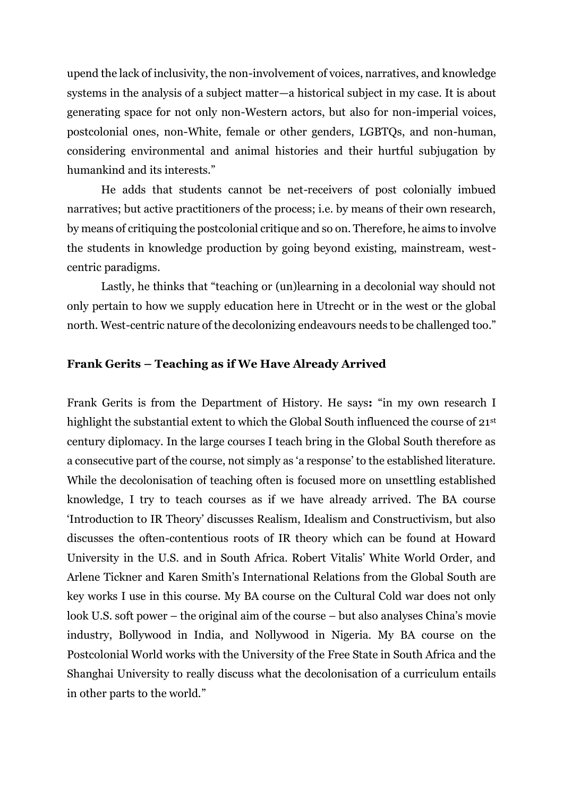upend the lack of inclusivity, the non-involvement of voices, narratives, and knowledge systems in the analysis of a subject matter—a historical subject in my case. It is about generating space for not only non-Western actors, but also for non-imperial voices, postcolonial ones, non-White, female or other genders, LGBTQs, and non-human, considering environmental and animal histories and their hurtful subjugation by humankind and its interests."

He adds that students cannot be net-receivers of post colonially imbued narratives; but active practitioners of the process; i.e. by means of their own research, by means of critiquing the postcolonial critique and so on. Therefore, he aims to involve the students in knowledge production by going beyond existing, mainstream, westcentric paradigms.

Lastly, he thinks that "teaching or (un)learning in a decolonial way should not only pertain to how we supply education here in Utrecht or in the west or the global north. West-centric nature of the decolonizing endeavours needs to be challenged too."

#### **Frank Gerits – Teaching as if We Have Already Arrived**

Frank Gerits is from the Department of History. He says**:** "in my own research I highlight the substantial extent to which the Global South influenced the course of 21<sup>st</sup> century diplomacy. In the large courses I teach bring in the Global South therefore as a consecutive part of the course, not simply as 'a response' to the established literature. While the decolonisation of teaching often is focused more on unsettling established knowledge, I try to teach courses as if we have already arrived. The BA course 'Introduction to IR Theory' discusses Realism, Idealism and Constructivism, but also discusses the often-contentious roots of IR theory which can be found at Howard University in the U.S. and in South Africa. Robert Vitalis' White World Order, and Arlene Tickner and Karen Smith's International Relations from the Global South are key works I use in this course. My BA course on the Cultural Cold war does not only look U.S. soft power – the original aim of the course – but also analyses China's movie industry, Bollywood in India, and Nollywood in Nigeria. My BA course on the Postcolonial World works with the University of the Free State in South Africa and the Shanghai University to really discuss what the decolonisation of a curriculum entails in other parts to the world."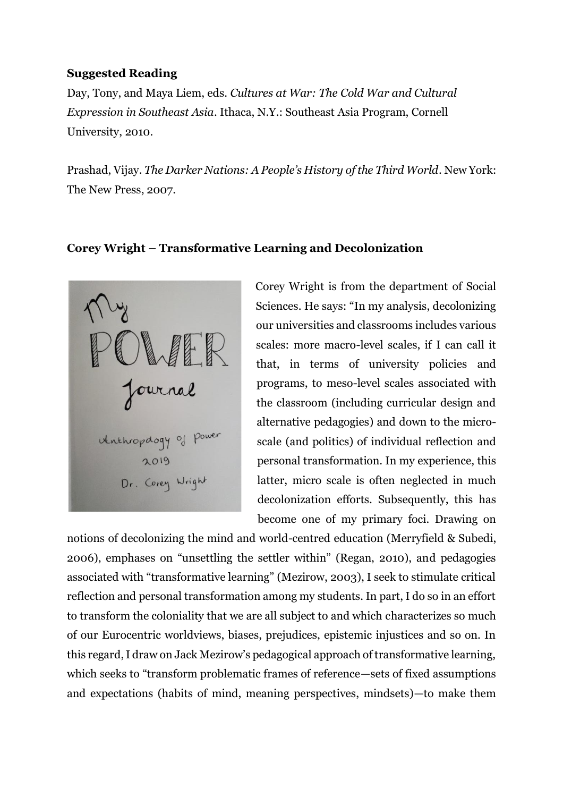#### **Suggested Reading**

Day, Tony, and Maya Liem, eds. *Cultures at War: The Cold War and Cultural Expression in Southeast Asia*. Ithaca, N.Y.: Southeast Asia Program, Cornell University, 2010.

Prashad, Vijay. *The Darker Nations: A People's History of the Third World*. New York: The New Press, 2007.

#### **Corey Wright – Transformative Learning and Decolonization**



Corey Wright is from the department of Social Sciences. He says: "In my analysis, decolonizing our universities and classrooms includes various scales: more macro-level scales, if I can call it that, in terms of university policies and programs, to meso-level scales associated with the classroom (including curricular design and alternative pedagogies) and down to the microscale (and politics) of individual reflection and personal transformation. In my experience, this latter, micro scale is often neglected in much decolonization efforts. Subsequently, this has become one of my primary foci. Drawing on

notions of decolonizing the mind and world-centred education (Merryfield & Subedi, 2006), emphases on "unsettling the settler within" (Regan, 2010), and pedagogies associated with "transformative learning" (Mezirow, 2003), I seek to stimulate critical reflection and personal transformation among my students. In part, I do so in an effort to transform the coloniality that we are all subject to and which characterizes so much of our Eurocentric worldviews, biases, prejudices, epistemic injustices and so on. In this regard, I draw on Jack Mezirow's pedagogical approach of transformative learning, which seeks to "transform problematic frames of reference—sets of fixed assumptions and expectations (habits of mind, meaning perspectives, mindsets)—to make them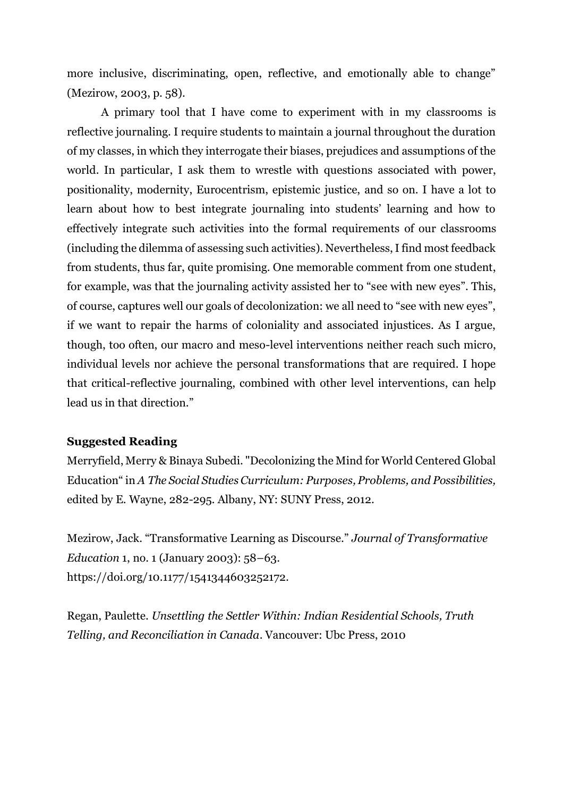more inclusive, discriminating, open, reflective, and emotionally able to change" (Mezirow, 2003, p. 58).

A primary tool that I have come to experiment with in my classrooms is reflective journaling. I require students to maintain a journal throughout the duration of my classes, in which they interrogate their biases, prejudices and assumptions of the world. In particular, I ask them to wrestle with questions associated with power, positionality, modernity, Eurocentrism, epistemic justice, and so on. I have a lot to learn about how to best integrate journaling into students' learning and how to effectively integrate such activities into the formal requirements of our classrooms (including the dilemma of assessing such activities). Nevertheless, I find most feedback from students, thus far, quite promising. One memorable comment from one student, for example, was that the journaling activity assisted her to "see with new eyes". This, of course, captures well our goals of decolonization: we all need to "see with new eyes", if we want to repair the harms of coloniality and associated injustices. As I argue, though, too often, our macro and meso-level interventions neither reach such micro, individual levels nor achieve the personal transformations that are required. I hope that critical-reflective journaling, combined with other level interventions, can help lead us in that direction."

#### **Suggested Reading**

Merryfield, Merry & Binaya Subedi. "Decolonizing the Mind for World Centered Global Education" in *A The Social Studies Curriculum: Purposes, Problems, and Possibilities,*  edited by E. Wayne, 282-295*.* Albany, NY: SUNY Press, 2012.

Mezirow, Jack. "Transformative Learning as Discourse." *Journal of Transformative Education* 1, no. 1 (January 2003): 58–63. https://doi.org/10.1177/1541344603252172.

Regan, Paulette. *Unsettling the Settler Within: Indian Residential Schools, Truth Telling, and Reconciliation in Canada*. Vancouver: Ubc Press, 2010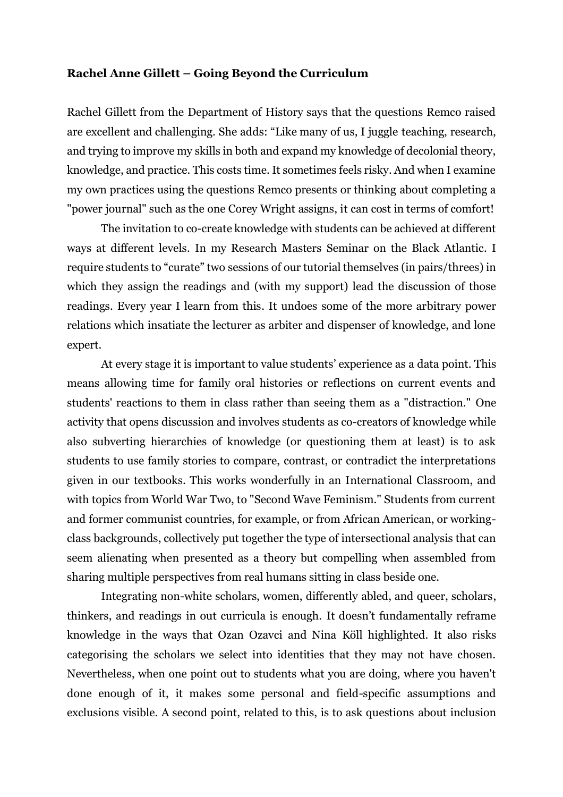#### **Rachel Anne Gillett – Going Beyond the Curriculum**

Rachel Gillett from the Department of History says that the questions Remco raised are excellent and challenging. She adds: "Like many of us, I juggle teaching, research, and trying to improve my skills in both and expand my knowledge of decolonial theory, knowledge, and practice. This costs time. It sometimes feels risky. And when I examine my own practices using the questions Remco presents or thinking about completing a "power journal" such as the one Corey Wright assigns, it can cost in terms of comfort!

The invitation to co-create knowledge with students can be achieved at different ways at different levels. In my Research Masters Seminar on the Black Atlantic. I require students to "curate" two sessions of our tutorial themselves (in pairs/threes) in which they assign the readings and (with my support) lead the discussion of those readings. Every year I learn from this. It undoes some of the more arbitrary power relations which insatiate the lecturer as arbiter and dispenser of knowledge, and lone expert.

At every stage it is important to value students' experience as a data point. This means allowing time for family oral histories or reflections on current events and students' reactions to them in class rather than seeing them as a "distraction." One activity that opens discussion and involves students as co-creators of knowledge while also subverting hierarchies of knowledge (or questioning them at least) is to ask students to use family stories to compare, contrast, or contradict the interpretations given in our textbooks. This works wonderfully in an International Classroom, and with topics from World War Two, to "Second Wave Feminism." Students from current and former communist countries, for example, or from African American, or workingclass backgrounds, collectively put together the type of intersectional analysis that can seem alienating when presented as a theory but compelling when assembled from sharing multiple perspectives from real humans sitting in class beside one.

Integrating non-white scholars, women, differently abled, and queer, scholars, thinkers, and readings in out curricula is enough. It doesn't fundamentally reframe knowledge in the ways that Ozan Ozavci and Nina Köll highlighted. It also risks categorising the scholars we select into identities that they may not have chosen. Nevertheless, when one point out to students what you are doing, where you haven't done enough of it, it makes some personal and field-specific assumptions and exclusions visible. A second point, related to this, is to ask questions about inclusion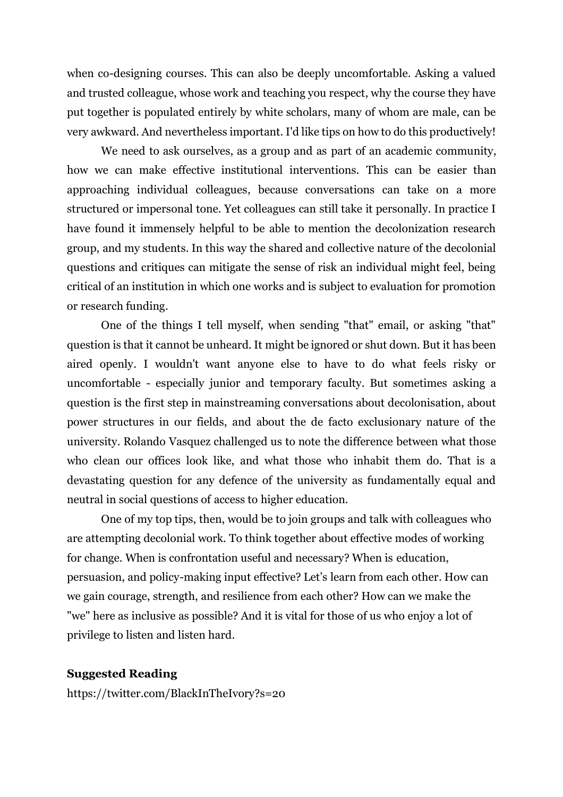when co-designing courses. This can also be deeply uncomfortable. Asking a valued and trusted colleague, whose work and teaching you respect, why the course they have put together is populated entirely by white scholars, many of whom are male, can be very awkward. And nevertheless important. I'd like tips on how to do this productively!

We need to ask ourselves, as a group and as part of an academic community, how we can make effective institutional interventions. This can be easier than approaching individual colleagues, because conversations can take on a more structured or impersonal tone. Yet colleagues can still take it personally. In practice I have found it immensely helpful to be able to mention the decolonization research group, and my students. In this way the shared and collective nature of the decolonial questions and critiques can mitigate the sense of risk an individual might feel, being critical of an institution in which one works and is subject to evaluation for promotion or research funding.

One of the things I tell myself, when sending "that" email, or asking "that" question is that it cannot be unheard. It might be ignored or shut down. But it has been aired openly. I wouldn't want anyone else to have to do what feels risky or uncomfortable - especially junior and temporary faculty. But sometimes asking a question is the first step in mainstreaming conversations about decolonisation, about power structures in our fields, and about the de facto exclusionary nature of the university. Rolando Vasquez challenged us to note the difference between what those who clean our offices look like, and what those who inhabit them do. That is a devastating question for any defence of the university as fundamentally equal and neutral in social questions of access to higher education.

One of my top tips, then, would be to join groups and talk with colleagues who are attempting decolonial work. To think together about effective modes of working for change. When is confrontation useful and necessary? When is education, persuasion, and policy-making input effective? Let's learn from each other. How can we gain courage, strength, and resilience from each other? How can we make the "we" here as inclusive as possible? And it is vital for those of us who enjoy a lot of privilege to listen and listen hard.

#### **Suggested Reading**

<https://twitter.com/BlackInTheIvory?s=20>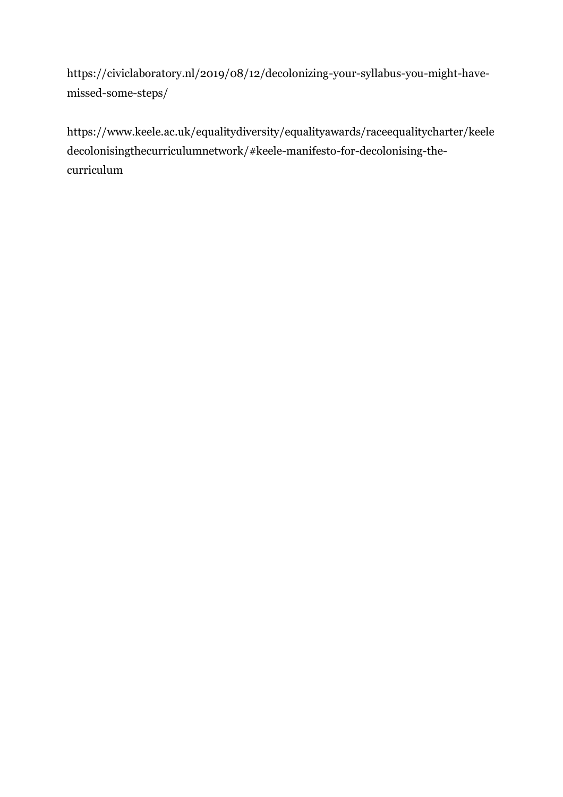[https://civiclaboratory.nl/2019/08/12/decolonizing-your-syllabus-you-might-have](https://civiclaboratory.nl/2019/08/12/decolonizing-your-syllabus-you-might-have-missed-some-steps/)[missed-some-steps/](https://civiclaboratory.nl/2019/08/12/decolonizing-your-syllabus-you-might-have-missed-some-steps/)

[https://www.keele.ac.uk/equalitydiversity/equalityawards/raceequalitycharter/keele](https://www.keele.ac.uk/equalitydiversity/equalityawards/raceequalitycharter/keeledecolonisingthecurriculumnetwork/#keele-manifesto-for-decolonising-the-curriculum) [decolonisingthecurriculumnetwork/#keele-manifesto-for-decolonising-the](https://www.keele.ac.uk/equalitydiversity/equalityawards/raceequalitycharter/keeledecolonisingthecurriculumnetwork/#keele-manifesto-for-decolonising-the-curriculum)[curriculum](https://www.keele.ac.uk/equalitydiversity/equalityawards/raceequalitycharter/keeledecolonisingthecurriculumnetwork/#keele-manifesto-for-decolonising-the-curriculum)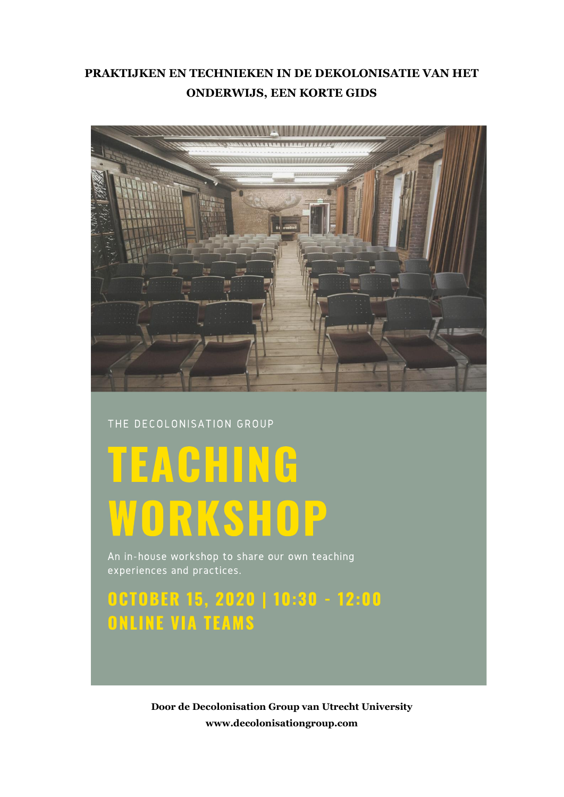### **PRAKTIJKEN EN TECHNIEKEN IN DE DEKOLONISATIE VAN HET ONDERWIJS, EEN KORTE GIDS**



#### THE DECOLONISATION GROUP

# **TEACHING** WORKSHOP

An in-house workshop to share our own teaching experiences and practices.

# OCTOBER 15, 2020 | 10:30 - 12:00 **ONLINE VIA TEAMS**

**Door de Decolonisation Group van Utrecht University www.decolonisationgroup.com**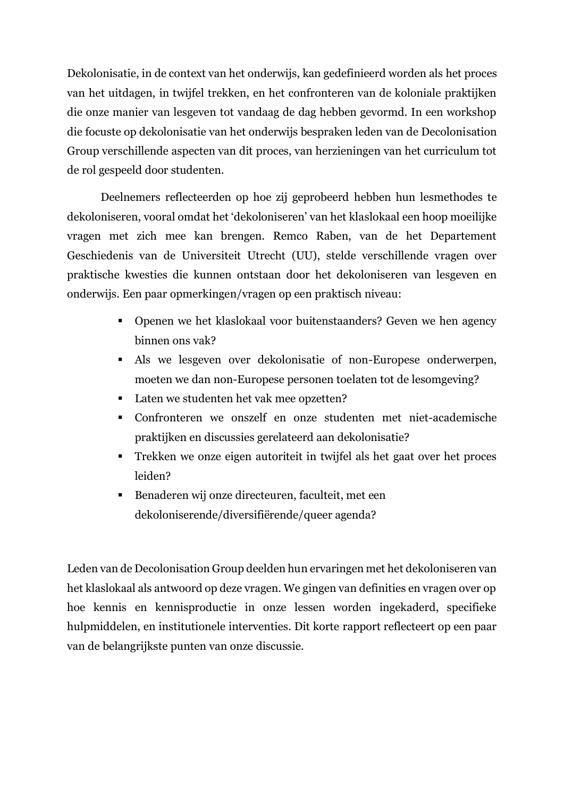Dekolonisatie, in de context van het onderwijs, kan gedefinieerd worden als het proces van het uitdagen, in twijfel trekken, en het confronteren van de koloniale praktijken die onze manier van lesgeven tot vandaag de dag hebben gevormd. In een workshop die focuste op dekolonisatie van het onderwijs bespraken leden van de Decolonisation Group verschillende aspecten van dit proces, van herzieningen van het curriculum tot de rol gespeeld door studenten.

Deelnemers reflecteerden op hoe zij geprobeerd hebben hun lesmethodes te dekoloniseren, vooral omdat het 'dekoloniseren' van het klaslokaal een hoop moeilijke vragen met zich mee kan brengen. Remco Raben, van de het Departement Geschiedenis van de Universiteit Utrecht (UU), stelde verschillende vragen over praktische kwesties die kunnen ontstaan door het dekoloniseren van lesgeven en onderwijs. Een paar opmerkingen/vragen op een praktisch niveau:

- Openen we het klaslokaal voor buitenstaanders? Geven we hen agency binnen ons vak?
- Als we lesgeven over dekolonisatie of non-Europese onderwerpen, moeten we dan non-Europese personen toelaten tot de lesomgeving?
- Laten we studenten het vak mee opzetten?
- Confronteren we onszelf en onze studenten met niet-academische praktijken en discussies gerelateerd aan dekolonisatie?
- Trekken we onze eigen autoriteit in twijfel als het gaat over het proces leiden?
- Benaderen wij onze directeuren, faculteit, met een dekoloniserende/diversifiërende/queer agenda?

Leden van de Decolonisation Group deelden hun ervaringen met het dekoloniseren van het klaslokaal als antwoord op deze vragen. We gingen van definities en vragen over op hoe kennis en kennisproductie in onze lessen worden ingekaderd, specifieke hulpmiddelen, en institutionele interventies. Dit korte rapport reflecteert op een paar van de belangrijkste punten van onze discussie.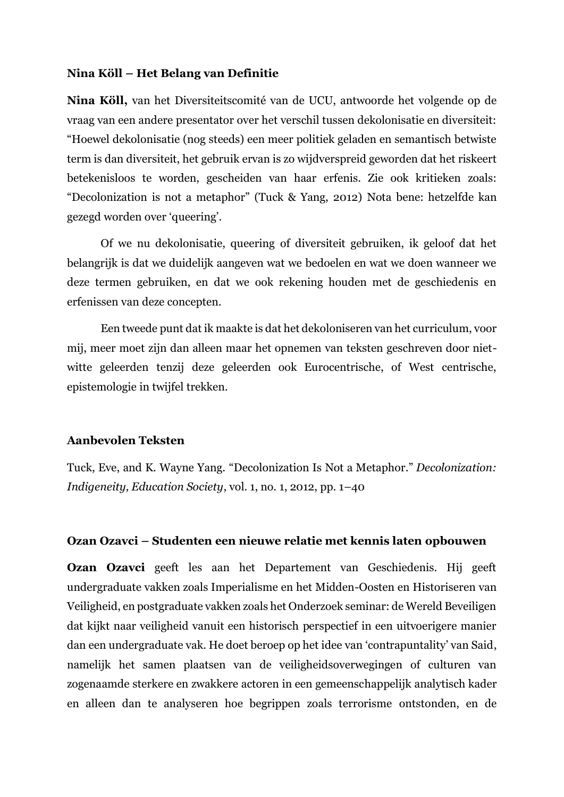#### **Nina Köll – Het Belang van Definitie**

**Nina Köll,** van het Diversiteitscomité van de UCU, antwoorde het volgende op de vraag van een andere presentator over het verschil tussen dekolonisatie en diversiteit: "Hoewel dekolonisatie (nog steeds) een meer politiek geladen en semantisch betwiste term is dan diversiteit, het gebruik ervan is zo wijdverspreid geworden dat het riskeert betekenisloos te worden, gescheiden van haar erfenis. Zie ook kritieken zoals: "Decolonization is not a metaphor" (Tuck & Yang, 2012) Nota bene: hetzelfde kan gezegd worden over 'queering'.

Of we nu dekolonisatie, queering of diversiteit gebruiken, ik geloof dat het belangrijk is dat we duidelijk aangeven wat we bedoelen en wat we doen wanneer we deze termen gebruiken, en dat we ook rekening houden met de geschiedenis en erfenissen van deze concepten.

Een tweede punt dat ik maakte is dat het dekoloniseren van het curriculum, voor mij, meer moet zijn dan alleen maar het opnemen van teksten geschreven door nietwitte geleerden tenzij deze geleerden ook Eurocentrische, of West centrische, epistemologie in twijfel trekken.

#### **Aanbevolen Teksten**

Tuck, Eve, and K. Wayne Yang. "Decolonization Is Not a Metaphor." *Decolonization: Indigeneity, Education Society*, vol. 1, no. 1, 2012, pp. 1–40

#### **Ozan Ozavci – Studenten een nieuwe relatie met kennis laten opbouwen**

**Ozan Ozavci** geeft les aan het Departement van Geschiedenis. Hij geeft undergraduate vakken zoals Imperialisme en het Midden-Oosten en Historiseren van Veiligheid, en postgraduate vakken zoals het Onderzoek seminar: de Wereld Beveiligen dat kijkt naar veiligheid vanuit een historisch perspectief in een uitvoerigere manier dan een undergraduate vak. He doet beroep op het idee van 'contrapuntality' van Said, namelijk het samen plaatsen van de veiligheidsoverwegingen of culturen van zogenaamde sterkere en zwakkere actoren in een gemeenschappelijk analytisch kader en alleen dan te analyseren hoe begrippen zoals terrorisme ontstonden, en de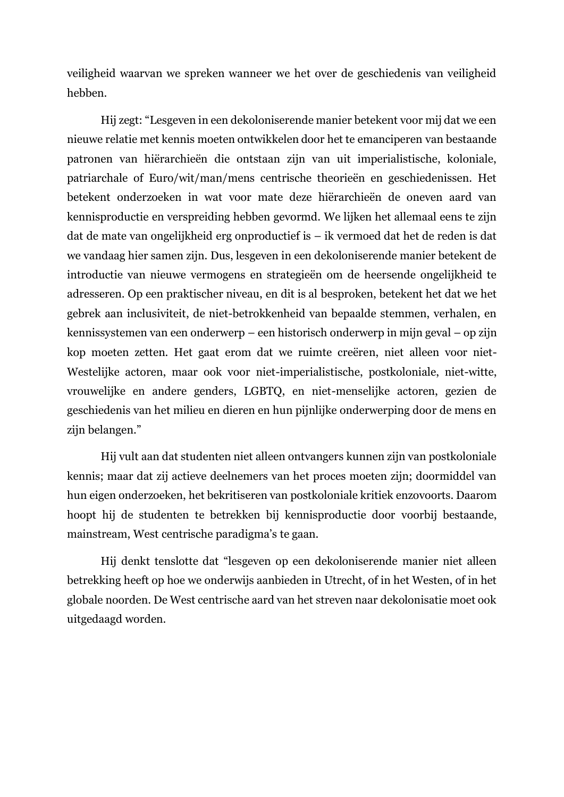veiligheid waarvan we spreken wanneer we het over de geschiedenis van veiligheid hebben.

Hij zegt: "Lesgeven in een dekoloniserende manier betekent voor mij dat we een nieuwe relatie met kennis moeten ontwikkelen door het te emanciperen van bestaande patronen van hiërarchieën die ontstaan zijn van uit imperialistische, koloniale, patriarchale of Euro/wit/man/mens centrische theorieën en geschiedenissen. Het betekent onderzoeken in wat voor mate deze hiërarchieën de oneven aard van kennisproductie en verspreiding hebben gevormd. We lijken het allemaal eens te zijn dat de mate van ongelijkheid erg onproductief is – ik vermoed dat het de reden is dat we vandaag hier samen zijn. Dus, lesgeven in een dekoloniserende manier betekent de introductie van nieuwe vermogens en strategieën om de heersende ongelijkheid te adresseren. Op een praktischer niveau, en dit is al besproken, betekent het dat we het gebrek aan inclusiviteit, de niet-betrokkenheid van bepaalde stemmen, verhalen, en kennissystemen van een onderwerp – een historisch onderwerp in mijn geval – op zijn kop moeten zetten. Het gaat erom dat we ruimte creëren, niet alleen voor niet-Westelijke actoren, maar ook voor niet-imperialistische, postkoloniale, niet-witte, vrouwelijke en andere genders, LGBTQ, en niet-menselijke actoren, gezien de geschiedenis van het milieu en dieren en hun pijnlijke onderwerping door de mens en zijn belangen."

Hij vult aan dat studenten niet alleen ontvangers kunnen zijn van postkoloniale kennis; maar dat zij actieve deelnemers van het proces moeten zijn; doormiddel van hun eigen onderzoeken, het bekritiseren van postkoloniale kritiek enzovoorts. Daarom hoopt hij de studenten te betrekken bij kennisproductie door voorbij bestaande, mainstream, West centrische paradigma's te gaan.

Hij denkt tenslotte dat "lesgeven op een dekoloniserende manier niet alleen betrekking heeft op hoe we onderwijs aanbieden in Utrecht, of in het Westen, of in het globale noorden. De West centrische aard van het streven naar dekolonisatie moet ook uitgedaagd worden.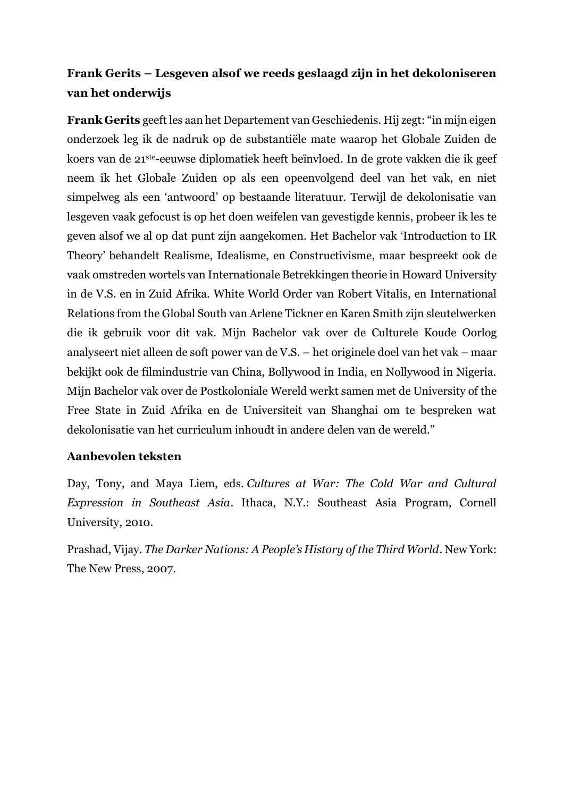## **Frank Gerits – Lesgeven alsof we reeds geslaagd zijn in het dekoloniseren van het onderwijs**

**Frank Gerits** geeft les aan het Departement van Geschiedenis. Hij zegt: "in mijn eigen onderzoek leg ik de nadruk op de substantiële mate waarop het Globale Zuiden de koers van de 21ste-eeuwse diplomatiek heeft beïnvloed. In de grote vakken die ik geef neem ik het Globale Zuiden op als een opeenvolgend deel van het vak, en niet simpelweg als een 'antwoord' op bestaande literatuur. Terwijl de dekolonisatie van lesgeven vaak gefocust is op het doen weifelen van gevestigde kennis, probeer ik les te geven alsof we al op dat punt zijn aangekomen. Het Bachelor vak 'Introduction to IR Theory' behandelt Realisme, Idealisme, en Constructivisme, maar bespreekt ook de vaak omstreden wortels van Internationale Betrekkingen theorie in Howard University in de V.S. en in Zuid Afrika. White World Order van Robert Vitalis, en International Relations from the Global South van Arlene Tickner en Karen Smith zijn sleutelwerken die ik gebruik voor dit vak. Mijn Bachelor vak over de Culturele Koude Oorlog analyseert niet alleen de soft power van de V.S. – het originele doel van het vak – maar bekijkt ook de filmindustrie van China, Bollywood in India, en Nollywood in Nigeria. Mijn Bachelor vak over de Postkoloniale Wereld werkt samen met de University of the Free State in Zuid Afrika en de Universiteit van Shanghai om te bespreken wat dekolonisatie van het curriculum inhoudt in andere delen van de wereld."

#### **Aanbevolen teksten**

Day, Tony, and Maya Liem, eds. *Cultures at War: The Cold War and Cultural Expression in Southeast Asia*. Ithaca, N.Y.: Southeast Asia Program, Cornell University, 2010.

Prashad, Vijay. *The Darker Nations: A People's History of the Third World*. New York: The New Press, 2007.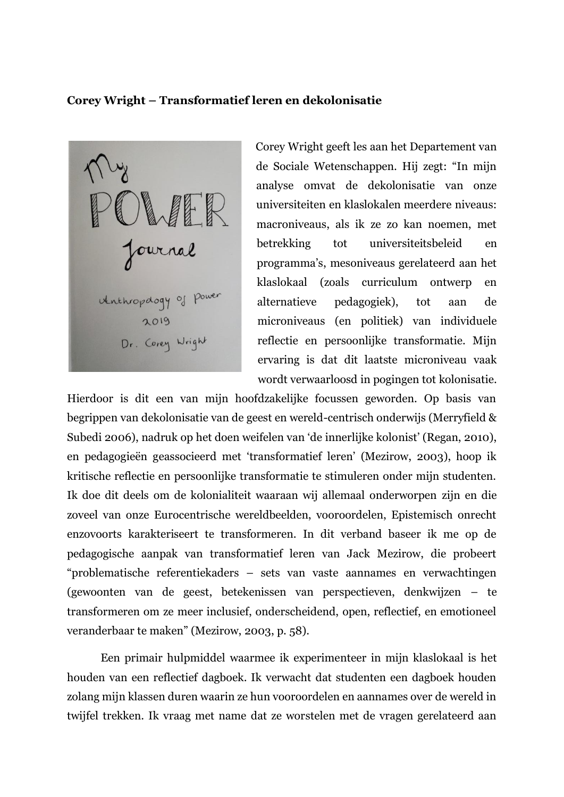#### **Corey Wright – Transformatief leren en dekolonisatie**

Journal Unthropology of Power 2019 Dr. Corey Wright

Corey Wright geeft les aan het Departement van de Sociale Wetenschappen. Hij zegt: "In mijn analyse omvat de dekolonisatie van onze universiteiten en klaslokalen meerdere niveaus: macroniveaus, als ik ze zo kan noemen, met betrekking tot universiteitsbeleid en programma's, mesoniveaus gerelateerd aan het klaslokaal (zoals curriculum ontwerp en alternatieve pedagogiek), tot aan de microniveaus (en politiek) van individuele reflectie en persoonlijke transformatie. Mijn ervaring is dat dit laatste microniveau vaak wordt verwaarloosd in pogingen tot kolonisatie.

Hierdoor is dit een van mijn hoofdzakelijke focussen geworden. Op basis van begrippen van dekolonisatie van de geest en wereld-centrisch onderwijs (Merryfield & Subedi 2006), nadruk op het doen weifelen van 'de innerlijke kolonist' (Regan, 2010), en pedagogieën geassocieerd met 'transformatief leren' (Mezirow, 2003), hoop ik kritische reflectie en persoonlijke transformatie te stimuleren onder mijn studenten. Ik doe dit deels om de kolonialiteit waaraan wij allemaal onderworpen zijn en die zoveel van onze Eurocentrische wereldbeelden, vooroordelen, Epistemisch onrecht enzovoorts karakteriseert te transformeren. In dit verband baseer ik me op de pedagogische aanpak van transformatief leren van Jack Mezirow, die probeert "problematische referentiekaders – sets van vaste aannames en verwachtingen (gewoonten van de geest, betekenissen van perspectieven, denkwijzen – te transformeren om ze meer inclusief, onderscheidend, open, reflectief, en emotioneel veranderbaar te maken" (Mezirow, 2003, p. 58).

Een primair hulpmiddel waarmee ik experimenteer in mijn klaslokaal is het houden van een reflectief dagboek. Ik verwacht dat studenten een dagboek houden zolang mijn klassen duren waarin ze hun vooroordelen en aannames over de wereld in twijfel trekken. Ik vraag met name dat ze worstelen met de vragen gerelateerd aan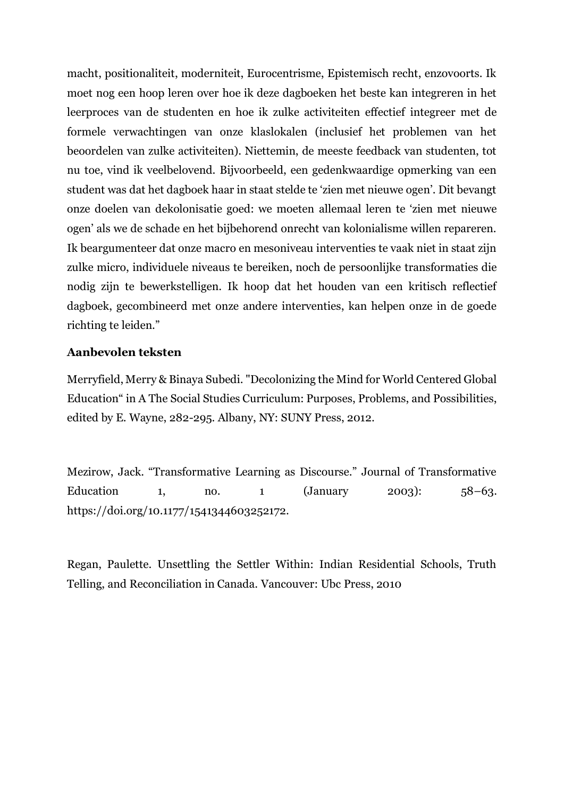macht, positionaliteit, moderniteit, Eurocentrisme, Epistemisch recht, enzovoorts. Ik moet nog een hoop leren over hoe ik deze dagboeken het beste kan integreren in het leerproces van de studenten en hoe ik zulke activiteiten effectief integreer met de formele verwachtingen van onze klaslokalen (inclusief het problemen van het beoordelen van zulke activiteiten). Niettemin, de meeste feedback van studenten, tot nu toe, vind ik veelbelovend. Bijvoorbeeld, een gedenkwaardige opmerking van een student was dat het dagboek haar in staat stelde te 'zien met nieuwe ogen'. Dit bevangt onze doelen van dekolonisatie goed: we moeten allemaal leren te 'zien met nieuwe ogen' als we de schade en het bijbehorend onrecht van kolonialisme willen repareren. Ik beargumenteer dat onze macro en mesoniveau interventies te vaak niet in staat zijn zulke micro, individuele niveaus te bereiken, noch de persoonlijke transformaties die nodig zijn te bewerkstelligen. Ik hoop dat het houden van een kritisch reflectief dagboek, gecombineerd met onze andere interventies, kan helpen onze in de goede richting te leiden."

#### **Aanbevolen teksten**

Merryfield, Merry & Binaya Subedi. "Decolonizing the Mind for World Centered Global Education" in A The Social Studies Curriculum: Purposes, Problems, and Possibilities, edited by E. Wayne, 282-295. Albany, NY: SUNY Press, 2012.

Mezirow, Jack. "Transformative Learning as Discourse." Journal of Transformative Education 1, no. 1  $(January \t 2003)$ : 58–63. https://doi.org/10.1177/1541344603252172.

Regan, Paulette. Unsettling the Settler Within: Indian Residential Schools, Truth Telling, and Reconciliation in Canada. Vancouver: Ubc Press, 2010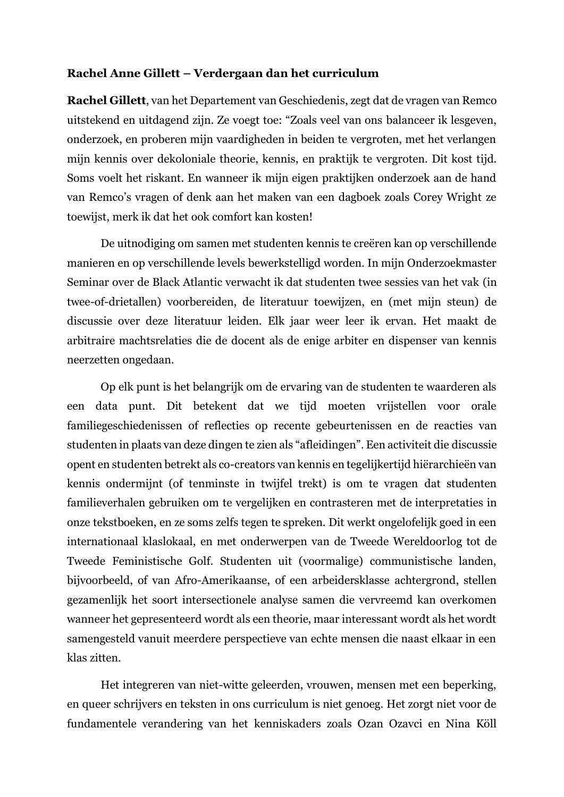#### **Rachel Anne Gillett – Verdergaan dan het curriculum**

**Rachel Gillett**, van het Departement van Geschiedenis, zegt dat de vragen van Remco uitstekend en uitdagend zijn. Ze voegt toe: "Zoals veel van ons balanceer ik lesgeven, onderzoek, en proberen mijn vaardigheden in beiden te vergroten, met het verlangen mijn kennis over dekoloniale theorie, kennis, en praktijk te vergroten. Dit kost tijd. Soms voelt het riskant. En wanneer ik mijn eigen praktijken onderzoek aan de hand van Remco's vragen of denk aan het maken van een dagboek zoals Corey Wright ze toewijst, merk ik dat het ook comfort kan kosten!

De uitnodiging om samen met studenten kennis te creëren kan op verschillende manieren en op verschillende levels bewerkstelligd worden. In mijn Onderzoekmaster Seminar over de Black Atlantic verwacht ik dat studenten twee sessies van het vak (in twee-of-drietallen) voorbereiden, de literatuur toewijzen, en (met mijn steun) de discussie over deze literatuur leiden. Elk jaar weer leer ik ervan. Het maakt de arbitraire machtsrelaties die de docent als de enige arbiter en dispenser van kennis neerzetten ongedaan.

Op elk punt is het belangrijk om de ervaring van de studenten te waarderen als een data punt. Dit betekent dat we tijd moeten vrijstellen voor orale familiegeschiedenissen of reflecties op recente gebeurtenissen en de reacties van studenten in plaats van deze dingen te zien als "afleidingen". Een activiteit die discussie opent en studenten betrekt als co-creators van kennis en tegelijkertijd hiërarchieën van kennis ondermijnt (of tenminste in twijfel trekt) is om te vragen dat studenten familieverhalen gebruiken om te vergelijken en contrasteren met de interpretaties in onze tekstboeken, en ze soms zelfs tegen te spreken. Dit werkt ongelofelijk goed in een internationaal klaslokaal, en met onderwerpen van de Tweede Wereldoorlog tot de Tweede Feministische Golf. Studenten uit (voormalige) communistische landen, bijvoorbeeld, of van Afro-Amerikaanse, of een arbeidersklasse achtergrond, stellen gezamenlijk het soort intersectionele analyse samen die vervreemd kan overkomen wanneer het gepresenteerd wordt als een theorie, maar interessant wordt als het wordt samengesteld vanuit meerdere perspectieve van echte mensen die naast elkaar in een klas zitten.

Het integreren van niet-witte geleerden, vrouwen, mensen met een beperking, en queer schrijvers en teksten in ons curriculum is niet genoeg. Het zorgt niet voor de fundamentele verandering van het kenniskaders zoals Ozan Ozavci en Nina Köll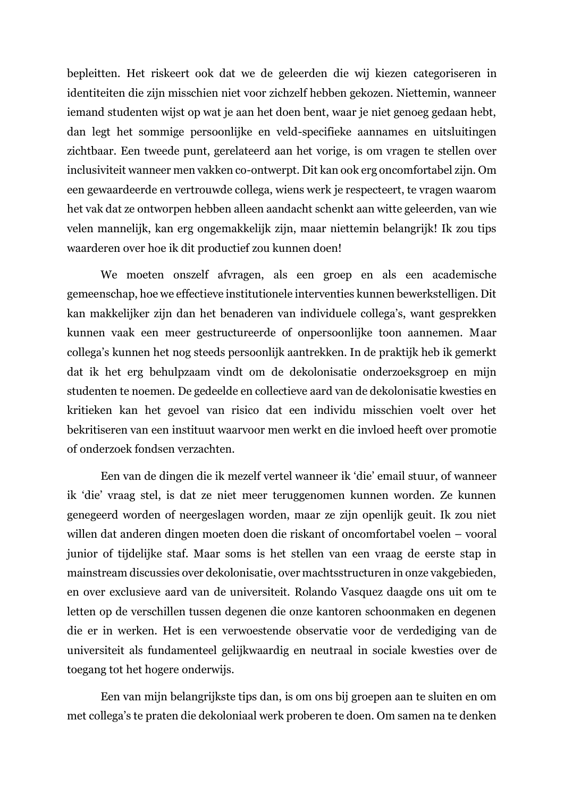bepleitten. Het riskeert ook dat we de geleerden die wij kiezen categoriseren in identiteiten die zijn misschien niet voor zichzelf hebben gekozen. Niettemin, wanneer iemand studenten wijst op wat je aan het doen bent, waar je niet genoeg gedaan hebt, dan legt het sommige persoonlijke en veld-specifieke aannames en uitsluitingen zichtbaar. Een tweede punt, gerelateerd aan het vorige, is om vragen te stellen over inclusiviteit wanneer men vakken co-ontwerpt. Dit kan ook erg oncomfortabel zijn. Om een gewaardeerde en vertrouwde collega, wiens werk je respecteert, te vragen waarom het vak dat ze ontworpen hebben alleen aandacht schenkt aan witte geleerden, van wie velen mannelijk, kan erg ongemakkelijk zijn, maar niettemin belangrijk! Ik zou tips waarderen over hoe ik dit productief zou kunnen doen!

We moeten onszelf afvragen, als een groep en als een academische gemeenschap, hoe we effectieve institutionele interventies kunnen bewerkstelligen. Dit kan makkelijker zijn dan het benaderen van individuele collega's, want gesprekken kunnen vaak een meer gestructureerde of onpersoonlijke toon aannemen. Maar collega's kunnen het nog steeds persoonlijk aantrekken. In de praktijk heb ik gemerkt dat ik het erg behulpzaam vindt om de dekolonisatie onderzoeksgroep en mijn studenten te noemen. De gedeelde en collectieve aard van de dekolonisatie kwesties en kritieken kan het gevoel van risico dat een individu misschien voelt over het bekritiseren van een instituut waarvoor men werkt en die invloed heeft over promotie of onderzoek fondsen verzachten.

Een van de dingen die ik mezelf vertel wanneer ik 'die' email stuur, of wanneer ik 'die' vraag stel, is dat ze niet meer teruggenomen kunnen worden. Ze kunnen genegeerd worden of neergeslagen worden, maar ze zijn openlijk geuit. Ik zou niet willen dat anderen dingen moeten doen die riskant of oncomfortabel voelen – vooral junior of tijdelijke staf. Maar soms is het stellen van een vraag de eerste stap in mainstream discussies over dekolonisatie, over machtsstructuren in onze vakgebieden, en over exclusieve aard van de universiteit. Rolando Vasquez daagde ons uit om te letten op de verschillen tussen degenen die onze kantoren schoonmaken en degenen die er in werken. Het is een verwoestende observatie voor de verdediging van de universiteit als fundamenteel gelijkwaardig en neutraal in sociale kwesties over de toegang tot het hogere onderwijs.

Een van mijn belangrijkste tips dan, is om ons bij groepen aan te sluiten en om met collega's te praten die dekoloniaal werk proberen te doen. Om samen na te denken